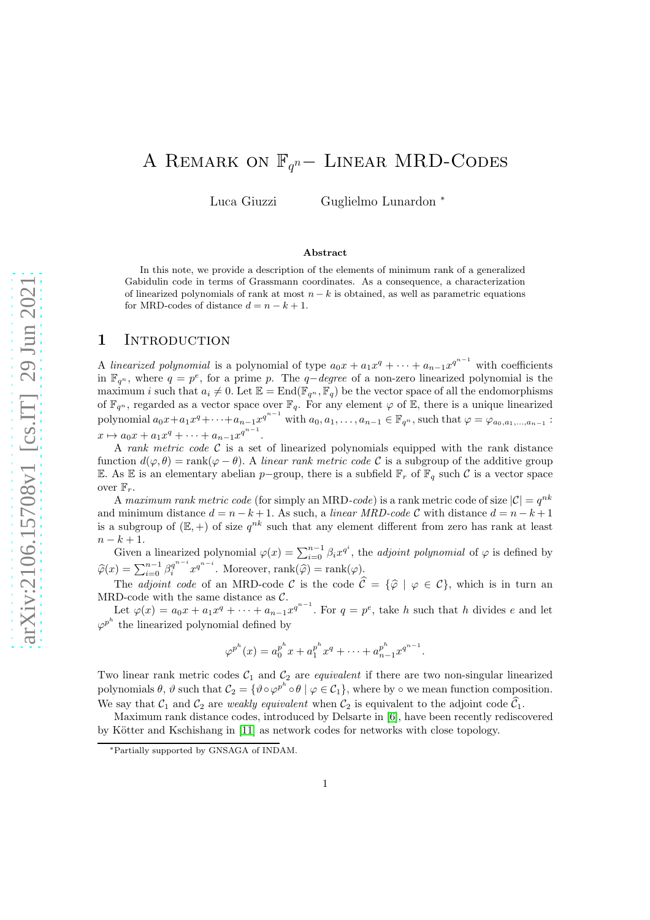# A REMARK ON  $\mathbb{F}_{q^n}$  – LINEAR MRD-CODES

Luca Giuzzi Guglielmo Lunardon <sup>∗</sup>

#### Abstract

In this note, we provide a description of the elements of minimum rank of a generalized Gabidulin code in terms of Grassmann coordinates. As a consequence, a characterization of linearized polynomials of rank at most  $n - k$  is obtained, as well as parametric equations for MRD-codes of distance  $d = n - k + 1$ .

#### 1 INTRODUCTION

A linearized polynomial is a polynomial of type  $a_0x + a_1x^q + \cdots + a_{n-1}x^{q^{n-1}}$  with coefficients in  $\mathbb{F}_{q^n}$ , where  $q = p^e$ , for a prime p. The  $q$ -degree of a non-zero linearized polynomial is the maximum i such that  $a_i \neq 0$ . Let  $\mathbb{E} = \text{End}(\mathbb{F}_{q^n}, \mathbb{F}_q)$  be the vector space of all the endomorphisms of  $\mathbb{F}_{q^n}$ , regarded as a vector space over  $\mathbb{F}_q$ . For any element  $\varphi$  of  $\mathbb{E}$ , there is a unique linearized polynomial  $a_0x + a_1x^q + \cdots + a_{n-1}x^{q^{n-1}}$  with  $a_0, a_1, \ldots, a_{n-1} \in \mathbb{F}_{q^n}$ , such that  $\varphi = \varphi_{a_0, a_1, \ldots, a_{n-1}}$ :  $x \mapsto a_0 x + a_1 x^q + \cdots + a_{n-1} x^{q^{n-1}}.$ 

A rank metric code  $C$  is a set of linearized polynomials equipped with the rank distance function  $d(\varphi, \theta) = \text{rank}(\varphi - \theta)$ . A linear rank metric code C is a subgroup of the additive group E. As E is an elementary abelian p−group, there is a subfield  $\mathbb{F}_r$  of  $\mathbb{F}_q$  such C is a vector space over  $\mathbb{F}_r$ .

A maximum rank metric code (for simply an MRD-code) is a rank metric code of size  $|\mathcal{C}| = q^{nk}$ and minimum distance  $d = n - k + 1$ . As such, a linear MRD-code C with distance  $d = n - k + 1$ is a subgroup of  $(E,+)$  of size  $q^{nk}$  such that any element different from zero has rank at least  $n - k + 1.$ 

Given a linearized polynomial  $\varphi(x) = \sum_{i=0}^{n-1} \beta_i x^{q^i}$ , the *adjoint polynomial* of  $\varphi$  is defined by  $\widehat{\varphi}(x) = \sum_{i=0}^{n-1} \beta_i^{q^{n-i}} x^{q^{n-i}}$ . Moreover,  $\text{rank}(\widehat{\varphi}) = \text{rank}(\varphi)$ .

The *adjoint code* of an MRD-code C is the code  $\hat{C} = {\hat{\varphi} \mid \varphi \in C}$ , which is in turn an MRD-code with the same distance as  $\mathcal{C}$ .

Let  $\varphi(x) = a_0x + a_1x^q + \cdots + a_{n-1}x^{q^{n-1}}$ . For  $q = p^e$ , take h such that h divides e and let  $\varphi^{p^h}$  the linearized polynomial defined by

$$
\varphi^{p^h}(x) = a_0^{p^h} x + a_1^{p^h} x^q + \dots + a_{n-1}^{p^h} x^{q^{n-1}}.
$$

Two linear rank metric codes  $C_1$  and  $C_2$  are *equivalent* if there are two non-singular linearized polynomials  $\theta$ ,  $\vartheta$  such that  $\mathcal{C}_2 = \{ \vartheta \circ \varphi^{p^h} \circ \theta \mid \varphi \in \mathcal{C}_1 \}$ , where by  $\circ$  we mean function composition. We say that  $C_1$  and  $C_2$  are *weakly equivalent* when  $C_2$  is equivalent to the adjoint code  $\widehat{C}_1$ .

Maximum rank distance codes, introduced by Delsarte in [\[6\]](#page-7-0), have been recently rediscovered by Kötter and Kschishang in [\[11\]](#page-7-1) as network codes for networks with close topology.

<sup>∗</sup>Partially supported by GNSAGA of INDAM.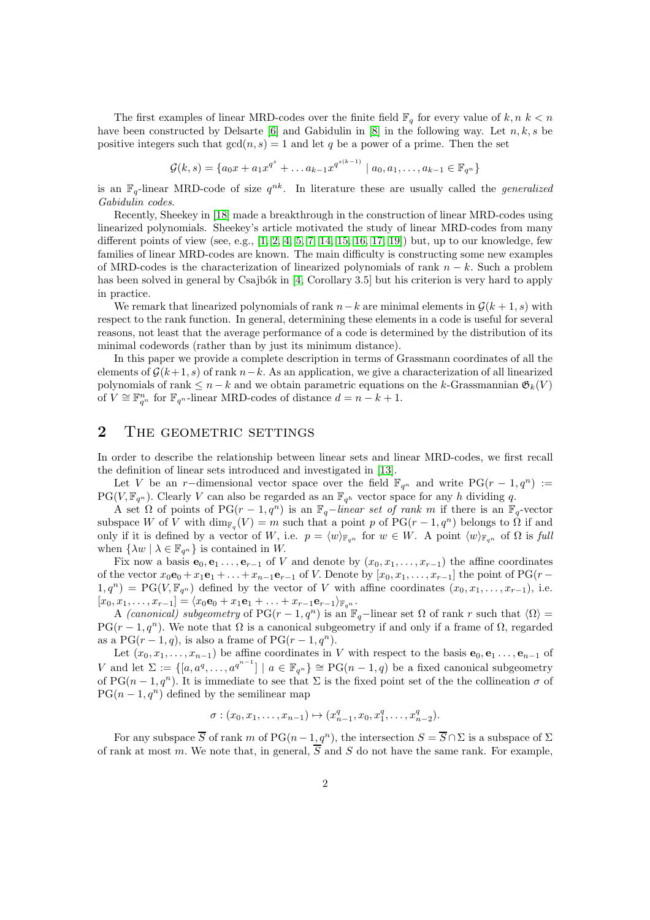The first examples of linear MRD-codes over the finite field  $\mathbb{F}_q$  for every value of  $k, n, k < n$ have been constructed by Delsarte [\[6\]](#page-7-0) and Gabidulin in [\[8\]](#page-7-2) in the following way. Let  $n, k, s$  be positive integers such that  $gcd(n, s) = 1$  and let q be a power of a prime. Then the set

$$
\mathcal{G}(k,s) = \{a_0x + a_1x^{q^s} + \dots + a_{k-1}x^{q^{s(k-1)}} \mid a_0, a_1, \dots, a_{k-1} \in \mathbb{F}_{q^n}\}\
$$

is an  $\mathbb{F}_q$ -linear MRD-code of size  $q^{nk}$ . In literature these are usually called the *generalized* Gabidulin codes.

Recently, Sheekey in [\[18\]](#page-7-3) made a breakthrough in the construction of linear MRD-codes using linearized polynomials. Sheekey's article motivated the study of linear MRD-codes from many different points of view (see, e.g.,  $[1, 2, 4, 5, 7, 14, 15, 16, 17, 19]$  $[1, 2, 4, 5, 7, 14, 15, 16, 17, 19]$  $[1, 2, 4, 5, 7, 14, 15, 16, 17, 19]$  $[1, 2, 4, 5, 7, 14, 15, 16, 17, 19]$  $[1, 2, 4, 5, 7, 14, 15, 16, 17, 19]$  $[1, 2, 4, 5, 7, 14, 15, 16, 17, 19]$  $[1, 2, 4, 5, 7, 14, 15, 16, 17, 19]$  $[1, 2, 4, 5, 7, 14, 15, 16, 17, 19]$  $[1, 2, 4, 5, 7, 14, 15, 16, 17, 19]$  $[1, 2, 4, 5, 7, 14, 15, 16, 17, 19]$ ) but, up to our knowledge, few families of linear MRD-codes are known. The main difficulty is constructing some new examples of MRD-codes is the characterization of linearized polynomials of rank  $n - k$ . Such a problem has been solved in general by Csajbók in [\[4,](#page-6-2) Corollary 3.5] but his criterion is very hard to apply in practice.

We remark that linearized polynomials of rank  $n-k$  are minimal elements in  $G(k + 1, s)$  with respect to the rank function. In general, determining these elements in a code is useful for several reasons, not least that the average performance of a code is determined by the distribution of its minimal codewords (rather than by just its minimum distance).

In this paper we provide a complete description in terms of Grassmann coordinates of all the elements of  $\mathcal{G}(k+1, s)$  of rank  $n-k$ . As an application, we give a characterization of all linearized polynomials of rank  $\leq n-k$  and we obtain parametric equations on the k-Grassmannian  $\mathfrak{G}_k(V)$ of  $V \cong \mathbb{F}_{q^n}^n$  for  $\mathbb{F}_{q^n}$ -linear MRD-codes of distance  $d = n - k + 1$ .

# 2 THE GEOMETRIC SETTINGS

In order to describe the relationship between linear sets and linear MRD-codes, we first recall the definition of linear sets introduced and investigated in [\[13\]](#page-7-10).

Let V be an r-dimensional vector space over the field  $\mathbb{F}_{q^n}$  and write PG(r - 1, q<sup>n</sup>) :=  $PG(V, \mathbb{F}_{q^n})$ . Clearly V can also be regarded as an  $\mathbb{F}_{q^h}$  vector space for any h dividing q.

A set  $\Omega$  of points of PG(r - 1, q<sup>n</sup>) is an  $\mathbb{F}_q$ -linear set of rank m if there is an  $\mathbb{F}_q$ -vector subspace W of V with  $\dim_{\mathbb{F}_q}(V) = m$  such that a point p of PG( $r - 1, q^n$ ) belongs to  $\Omega$  if and only if it is defined by a vector of W, i.e.  $p = \langle w \rangle_{\mathbb{F}_{q^n}}$  for  $w \in W$ . A point  $\langle w \rangle_{\mathbb{F}_{q^n}}$  of  $\Omega$  is full when  $\{\lambda w \mid \lambda \in \mathbb{F}_{q^n}\}\$ is contained in W.

Fix now a basis  $e_0, e_1, \ldots, e_{r-1}$  of V and denote by  $(x_0, x_1, \ldots, x_{r-1})$  the affine coordinates of the vector  $x_0\mathbf{e}_0 + x_1\mathbf{e}_1 + \ldots + x_{n-1}\mathbf{e}_{r-1}$  of V. Denote by  $[x_0, x_1, \ldots, x_{r-1}]$  the point of PG(r –  $1,q^n$ ) = PG( $V, \mathbb{F}_{q^n}$ ) defined by the vector of V with affine coordinates  $(x_0, x_1, \ldots, x_{r-1})$ , i.e.  $[x_0, x_1, \ldots, x_{r-1}] = \langle x_0 \mathbf{e}_0 + x_1 \mathbf{e}_1 + \ldots + x_{r-1} \mathbf{e}_{r-1} \rangle_{\mathbb{F}_{q^n}}.$ 

A *(canonical) subgeometry* of PG( $r - 1$ ,  $q<sup>n</sup>$ ) is an  $\mathbb{F}_q$ -linear set  $\Omega$  of rank r such that  $\langle \Omega \rangle$  =  $PG(r-1, q^n)$ . We note that  $\Omega$  is a canonical subgeometry if and only if a frame of  $\Omega$ , regarded as a PG( $r-1, q$ ), is also a frame of PG( $r-1, q^n$ ).

Let  $(x_0, x_1, \ldots, x_{n-1})$  be affine coordinates in V with respect to the basis  $e_0, e_1, \ldots, e_{n-1}$  of V and let  $\Sigma := \{ [a, a^q, \ldots, a^{q^{n-1}}] \mid a \in \mathbb{F}_{q^n} \} \cong PG(n-1, q)$  be a fixed canonical subgeometry of PG( $n-1, q^n$ ). It is immediate to see that  $\Sigma$  is the fixed point set of the the collineation  $\sigma$  of  $PG(n-1, q^n)$  defined by the semilinear map

$$
\sigma: (x_0, x_1, \ldots, x_{n-1}) \mapsto (x_{n-1}^q, x_0, x_1^q, \ldots, x_{n-2}^q).
$$

For any subspace  $\overline{S}$  of rank m of PG(n – 1, q<sup>n</sup>), the intersection  $S = \overline{S} \cap \Sigma$  is a subspace of  $\Sigma$ of rank at most m. We note that, in general,  $\overline{S}$  and S do not have the same rank. For example,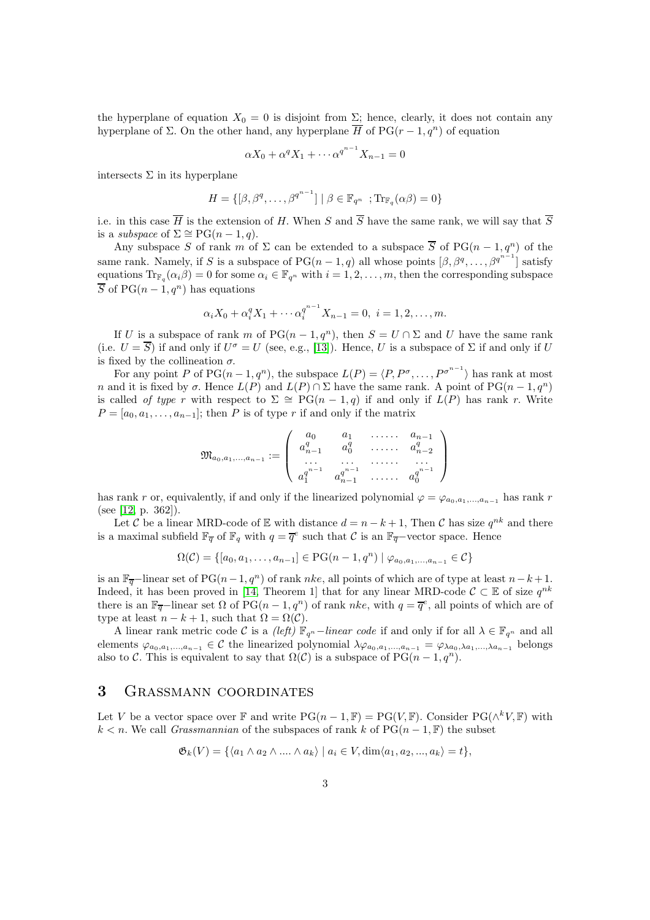the hyperplane of equation  $X_0 = 0$  is disjoint from  $\Sigma$ ; hence, clearly, it does not contain any hyperplane of  $\Sigma$ . On the other hand, any hyperplane  $\overline{H}$  of PG( $r-1, q^n$ ) of equation

$$
\alpha X_0 + \alpha^q X_1 + \cdots + \alpha^{q^{n-1}} X_{n-1} = 0
$$

intersects  $\Sigma$  in its hyperplane

$$
H = \{ [\beta, \beta^q, \dots, \beta^{q^{n-1}}] \mid \beta \in \mathbb{F}_{q^n} ; \text{Tr}_{\mathbb{F}_q}(\alpha \beta) = 0 \}
$$

i.e. in this case  $\overline{H}$  is the extension of H. When S and  $\overline{S}$  have the same rank, we will say that  $\overline{S}$ is a *subspace* of  $\Sigma \cong PG(n-1, q)$ .

Any subspace S of rank m of  $\Sigma$  can be extended to a subspace  $\overline{S}$  of PG(n – 1, q<sup>n</sup>) of the same rank. Namely, if S is a subspace of  $PG(n-1, q)$  all whose points  $[\beta, \beta^q, \dots, \beta^{q^{n-1}}]$  satisfy equations  $\text{Tr}_{\mathbb{F}_q}(\alpha_i\beta) = 0$  for some  $\alpha_i \in \mathbb{F}_{q^n}$  with  $i = 1, 2, \ldots, m$ , then the corresponding subspace  $\overline{S}$  of PG(n – 1, q<sup>n</sup>) has equations

$$
\alpha_i X_0 + \alpha_i^q X_1 + \cdots + \alpha_i^{q^{n-1}} X_{n-1} = 0, \ i = 1, 2, \dots, m.
$$

If U is a subspace of rank m of  $PG(n-1, q^n)$ , then  $S = U \cap \Sigma$  and U have the same rank (i.e.  $U = \overline{S}$ ) if and only if  $U^{\sigma} = U$  (see, e.g., [\[13\]](#page-7-10)). Hence, U is a subspace of  $\Sigma$  if and only if U is fixed by the collineation  $\sigma$ .

For any point P of PG $(n-1, q^n)$ , the subspace  $L(P) = \langle P, P^{\sigma}, \ldots, P^{\sigma^{n-1}} \rangle$  has rank at most n and it is fixed by  $\sigma$ . Hence  $L(P)$  and  $L(P) \cap \Sigma$  have the same rank. A point of PG( $n-1, q^n$ ) is called of type r with respect to  $\Sigma \cong PG(n-1,q)$  if and only if  $L(P)$  has rank r. Write  $P = [a_0, a_1, \ldots, a_{n-1}]$ ; then P is of type r if and only if the matrix

$$
\mathfrak{M}_{a_0, a_1, \dots, a_{n-1}} := \left( \begin{array}{cccc} a_0 & a_1 & \dots & a_{n-1} \\ a_{n-1}^q & a_0^q & \dots & a_{n-2}^q \\ \vdots & \vdots & \vdots & \vdots \\ a_1^{n-1} & a_{n-1}^{n-1} & \dots & a_0^{n-1} \\ \end{array} \right)
$$

has rank r or, equivalently, if and only if the linearized polynomial  $\varphi = \varphi_{a_0, a_1, \dots, a_{n-1}}$  has rank r (see [\[12,](#page-7-11) p. 362]).

Let C be a linear MRD-code of E with distance  $d = n - k + 1$ , Then C has size  $q^{nk}$  and there is a maximal subfield  $\mathbb{F}_{\overline{q}}$  of  $\mathbb{F}_q$  with  $q = \overline{q}^e$  such that C is an  $\mathbb{F}_{\overline{q}}$ -vector space. Hence

$$
\Omega(\mathcal{C}) = \{ [a_0, a_1, \dots, a_{n-1}] \in \text{PG}(n-1, q^n) \mid \varphi_{a_0, a_1, \dots, a_{n-1}} \in \mathcal{C} \}
$$

is an  $\mathbb{F}_{\overline{q}}$ -linear set of PG(n-1, q<sup>n</sup>) of rank nke, all points of which are of type at least n-k+1. Indeed, it has been proved in [\[14,](#page-7-5) Theorem 1] that for any linear MRD-code  $\mathcal{C} \subset \mathbb{E}$  of size  $q^{nk}$ there is an  $\mathbb{F}_{\overline{q}}$ -linear set  $\Omega$  of PG( $n-1, q^n$ ) of rank nke, with  $q = \overline{q}^e$ , all points of which are of type at least  $n - k + 1$ , such that  $\Omega = \Omega(\mathcal{C})$ .

A linear rank metric code C is a (left)  $\mathbb{F}_{q^n}$  –linear code if and only if for all  $\lambda \in \mathbb{F}_{q^n}$  and all elements  $\varphi_{a_0,a_1,...,a_{n-1}} \in \mathcal{C}$  the linearized polynomial  $\lambda \varphi_{a_0,a_1,...,a_{n-1}} = \varphi_{\lambda a_0,\lambda a_1,...,\lambda a_{n-1}}$  belongs also to C. This is equivalent to say that  $\Omega(\mathcal{C})$  is a subspace of PG( $n-1, q^n$ ).

### 3 Grassmann coordinates

Let V be a vector space over  $\mathbb F$  and write  $PG(n-1, \mathbb F) = PG(V, \mathbb F)$ . Consider  $PG(\wedge^k V, \mathbb F)$  with  $k < n$ . We call *Grassmannian* of the subspaces of rank k of  $PG(n-1, \mathbb{F})$  the subset

$$
\mathfrak{G}_k(V) = \{ \langle a_1 \wedge a_2 \wedge \dots \wedge a_k \rangle \mid a_i \in V, \dim \langle a_1, a_2, \dots, a_k \rangle = t \},\
$$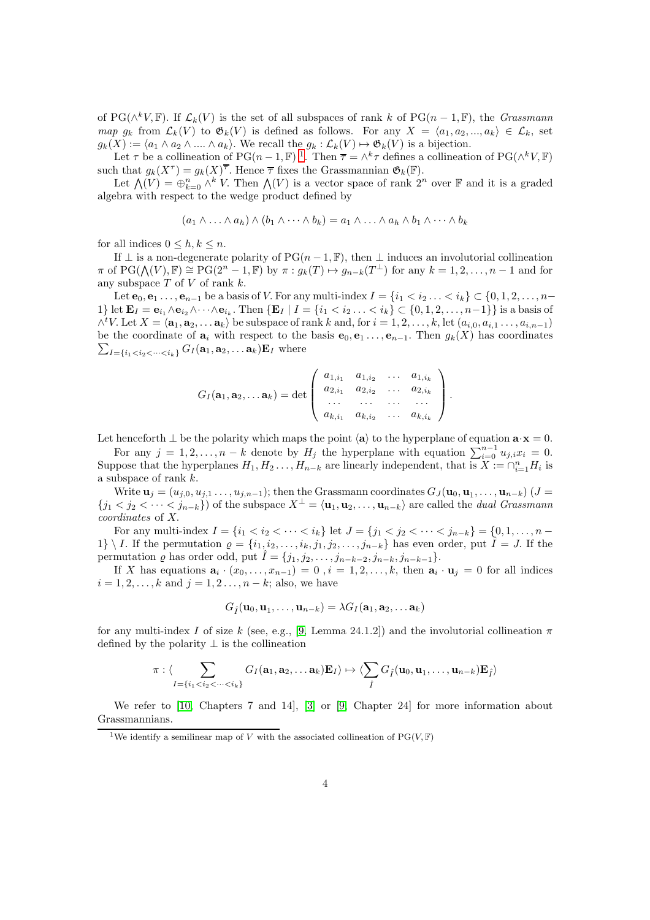of PG( $\wedge^k V$ , F). If  $\mathcal{L}_k(V)$  is the set of all subspaces of rank k of PG( $n-1$ , F), the *Grassmann* map  $g_k$  from  $\mathcal{L}_k(V)$  to  $\mathfrak{G}_k(V)$  is defined as follows. For any  $X = \langle a_1, a_2, ..., a_k \rangle \in \mathcal{L}_k$ , set  $g_k(X) := \langle a_1 \wedge a_2 \wedge ... \wedge a_k \rangle$ . We recall the  $g_k : \mathcal{L}_k(V) \mapsto \mathfrak{G}_k(V)$  is a bijection.

Let  $\tau$  be a collineation of PG( $n-1$  $n-1$ ,  $\mathbb{F})$ <sup>1</sup>. Then  $\overline{\tau} = \wedge^k \tau$  defines a collineation of PG( $\wedge^k V$ ,  $\mathbb{F})$ ) such that  $g_k(X^{\tau}) = g_k(X)^{\overline{\tau}}$ . Hence  $\overline{\tau}$  fixes the Grassmannian  $\mathfrak{G}_k(\mathbb{F})$ .

Let  $\bigwedge(V) = \bigoplus_{k=0}^{n} \bigwedge^{k} V$ . Then  $\bigwedge(V)$  is a vector space of rank  $2^{n}$  over  $\mathbb{F}$  and it is a graded algebra with respect to the wedge product defined by

$$
(a_1 \wedge \ldots \wedge a_h) \wedge (b_1 \wedge \cdots \wedge b_k) = a_1 \wedge \ldots \wedge a_h \wedge b_1 \wedge \cdots \wedge b_k
$$

for all indices  $0 \leq h, k \leq n$ .

If  $\perp$  is a non-degenerate polarity of PG( $n-1, \mathbb{F}$ ), then  $\perp$  induces an involutorial collineation  $\pi$  of  $PG(\bigwedge(V), \mathbb{F}) \cong PG(2^n - 1, \mathbb{F})$  by  $\pi : g_k(T) \mapsto g_{n-k}(T^{\perp})$  for any  $k = 1, 2, ..., n-1$  and for any subspace  $T$  of  $V$  of rank  $k$ .

Let  $e_0, e_1, \ldots, e_{n-1}$  be a basis of V. For any multi-index  $I = \{i_1 < i_2, \ldots < i_k\} \subset \{0, 1, 2, \ldots, n-1\}$ 1} let  $\mathbf{E}_I = \mathbf{e}_{i_1} \wedge \mathbf{e}_{i_2} \wedge \cdots \wedge \mathbf{e}_{i_k}$ . Then  $\{\mathbf{E}_I \mid I = \{i_1 < i_2 \ldots < i_k\} \subset \{0, 1, 2, \ldots, n-1\}\}$  is a basis of  $\wedge^t V$ . Let  $X = \langle \mathbf{a}_1, \mathbf{a}_2, \dots \mathbf{a}_k \rangle$  be subspace of rank k and, for  $i = 1, 2, \dots, k$ , let  $(a_{i,0}, a_{i,1}, \dots, a_{i,n-1})$  $\sum_{I=\{i_1 where$ be the coordinate of  $\mathbf{a}_i$  with respect to the basis  $\mathbf{e}_0, \mathbf{e}_1 \dots, \mathbf{e}_{n-1}$ . Then  $g_k(X)$  has coordinates

$$
G_I(\mathbf{a}_1, \mathbf{a}_2, \ldots \mathbf{a}_k) = \det \left( \begin{array}{cccc} a_{1,i_1} & a_{1,i_2} & \ldots & a_{1,i_k} \\ a_{2,i_1} & a_{2,i_2} & \ldots & a_{2,i_k} \\ \ldots & \ldots & \ldots & \ldots \\ a_{k,i_1} & a_{k,i_2} & \ldots & a_{k,i_k} \end{array} \right).
$$

Let henceforth  $\perp$  be the polarity which maps the point  $\langle a \rangle$  to the hyperplane of equation  $\mathbf{a} \cdot \mathbf{x} = 0$ .

For any  $j = 1, 2, \ldots, n - k$  denote by  $H_j$  the hyperplane with equation  $\sum_{i=0}^{n-1} u_{j,i} x_i = 0$ . Suppose that the hyperplanes  $H_1, H_2, \ldots, H_{n-k}$  are linearly independent, that is  $X := \bigcap_{i=1}^n H_i$  is a subspace of rank k.

Write  $\mathbf{u}_j = (u_{j,0}, u_{j,1}, \dots, u_{j,n-1})$ ; then the Grassmann coordinates  $G_J(\mathbf{u}_0, \mathbf{u}_1, \dots, \mathbf{u}_{n-k})$   $(J =$  ${j_1 < j_2 < \cdots < j_{n-k}}$ ) of the subspace  $X^{\perp} = \langle \mathbf{u}_1, \mathbf{u}_2, \dots, \mathbf{u}_{n-k} \rangle$  are called the *dual Grassmann* coordinates of X.

For any multi-index  $I = \{i_1 < i_2 < \cdots < i_k\}$  let  $J = \{j_1 < j_2 < \cdots < j_{n-k}\} = \{0, 1, \ldots, n-1\}$ 1} \ I. If the permutation  $\varrho = \{i_1, i_2, \ldots, i_k, j_1, j_2, \ldots, j_{n-k}\}\$  has even order, put  $\hat{I} = J$ . If the permutation  $\varrho$  has order odd, put  $\hat{I} = \{j_1, j_2, \ldots, j_{n-k-2}, j_{n-k}, j_{n-k-1}\}.$ 

If X has equations  $\mathbf{a}_i \cdot (x_0, \ldots, x_{n-1}) = 0$ ,  $i = 1, 2, \ldots, k$ , then  $\mathbf{a}_i \cdot \mathbf{u}_j = 0$  for all indices  $i = 1, 2, \ldots, k$  and  $j = 1, 2, \ldots, n - k$ ; also, we have

$$
G_{\hat{I}}(\mathbf{u}_0,\mathbf{u}_1,\ldots,\mathbf{u}_{n-k})=\lambda G_{I}(\mathbf{a}_1,\mathbf{a}_2,\ldots,\mathbf{a}_k)
$$

for any multi-index I of size k (see, e.g., [\[9,](#page-7-12) Lemma 24.1.2]) and the involutorial collineation  $\pi$ defined by the polarity  $\perp$  is the collineation

$$
\pi: \langle \sum_{I=\{i_1
$$

We refer to [\[10,](#page-7-13) Chapters 7 and 14], [\[3\]](#page-6-4) or [\[9,](#page-7-12) Chapter 24] for more information about Grassmannians.

<span id="page-3-0"></span><sup>&</sup>lt;sup>1</sup>We identify a semilinear map of V with the associated collineation of  $PG(V, \mathbb{F})$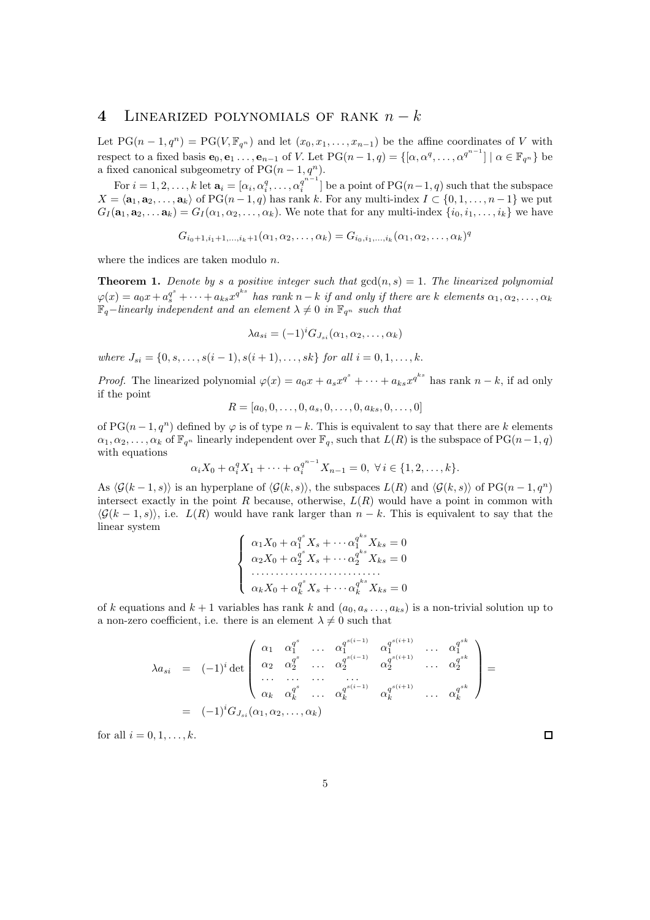# 4 LINEARIZED POLYNOMIALS OF RANK  $n - k$

Let  $PG(n-1,q^n) = PG(V, \mathbb{F}_{q^n})$  and let  $(x_0, x_1, \ldots, x_{n-1})$  be the affine coordinates of V with respect to a fixed basis  $\mathbf{e}_0, \mathbf{e}_1 \ldots, \mathbf{e}_{n-1}$  of V. Let  $PG(n-1,q) = \{[\alpha, \alpha^q, \ldots, \alpha^{q^{n-1}}] \mid \alpha \in \mathbb{F}_{q^n}\}\)$ a fixed canonical subgeometry of  $PG(n-1, q^n)$ .

For  $i = 1, 2, \ldots, k$  let  $\mathbf{a}_i = [\alpha_i, \alpha_i^q, \ldots, \alpha_i^{q^{n-1}}]$  $\binom{q}{i}$  be a point of PG(n-1, q) such that the subspace  $X = \langle a_1, a_2, \ldots, a_k \rangle$  of PG $(n - 1, q)$  has rank k. For any multi-index  $I \subset \{0, 1, \ldots, n - 1\}$  we put  $G_I(\mathbf{a}_1, \mathbf{a}_2, \dots, \mathbf{a}_k) = G_I(\alpha_1, \alpha_2, \dots, \alpha_k)$ . We note that for any multi-index  $\{i_0, i_1, \dots, i_k\}$  we have

$$
G_{i_0+1,i_1+1,...,i_k+1}(\alpha_1,\alpha_2,...,\alpha_k) = G_{i_0,i_1,...,i_k}(\alpha_1,\alpha_2,...,\alpha_k)^q
$$

where the indices are taken modulo n.

<span id="page-4-0"></span>**Theorem 1.** Denote by s a positive integer such that  $gcd(n, s) = 1$ . The linearized polynomial  $\varphi(x)=a_0x+a_s^{q^s}+\cdots+a_{ks}x^{q^{ks}}$  has rank  $n-k$  if and only if there are k elements  $\alpha_1,\alpha_2,\ldots,\alpha_k$  $\mathbb{F}_q$ -linearly independent and an element  $\lambda \neq 0$  in  $\mathbb{F}_{q^n}$  such that

$$
\lambda a_{si} = (-1)^i G_{J_{si}}(\alpha_1, \alpha_2, \dots, \alpha_k)
$$

where  $J_{si} = \{0, s, \ldots, s(i-1), s(i+1), \ldots, sk\}$  for all  $i = 0, 1, \ldots, k$ .

*Proof.* The linearized polynomial  $\varphi(x) = a_0 x + a_s x^{q^s} + \cdots + a_{ks} x^{q^{ks}}$  has rank  $n - k$ , if ad only if the point

$$
R = [a_0, 0, \dots, 0, a_s, 0, \dots, 0, a_{ks}, 0, \dots, 0]
$$

of PG( $n-1, q^n$ ) defined by  $\varphi$  is of type  $n-k$ . This is equivalent to say that there are k elements  $\alpha_1, \alpha_2, \ldots, \alpha_k$  of  $\mathbb{F}_{q^n}$  linearly independent over  $\mathbb{F}_q$ , such that  $L(R)$  is the subspace of PG $(n-1, q)$ with equations

$$
\alpha_i X_0 + \alpha_i^q X_1 + \dots + \alpha_i^{q^{n-1}} X_{n-1} = 0, \ \forall i \in \{1, 2, \dots, k\}.
$$

As  $\langle \mathcal{G}(k-1, s) \rangle$  is an hyperplane of  $\langle \mathcal{G}(k, s) \rangle$ , the subspaces  $L(R)$  and  $\langle \mathcal{G}(k, s) \rangle$  of PG(n - 1, q<sup>n</sup>) intersect exactly in the point  $R$  because, otherwise,  $L(R)$  would have a point in common with  $\langle \mathcal{G}(k-1, s) \rangle$ , i.e.  $L(R)$  would have rank larger than  $n - k$ . This is equivalent to say that the linear system

$$
\begin{cases}\n\alpha_1 X_0 + \alpha_1^{q^s} X_s + \cdots + \alpha_1^{q^{ks}} X_{ks} = 0 \\
\alpha_2 X_0 + \alpha_2^{q^s} X_s + \cdots + \alpha_2^{q^{ks}} X_{ks} = 0 \\
\cdots \\
\alpha_k X_0 + \alpha_k^{q^s} X_s + \cdots + \alpha_k^{q^{ks}} X_{ks} = 0\n\end{cases}
$$

of k equations and  $k + 1$  variables has rank k and  $(a_0, a_s, \ldots, a_{ks})$  is a non-trivial solution up to a non-zero coefficient, i.e. there is an element  $\lambda \neq 0$  such that

$$
\lambda a_{si} = (-1)^{i} \det \begin{pmatrix} \alpha_{1} & \alpha_{1}^{q^{s}} & \dots & \alpha_{1}^{q^{s(i-1)}} & \alpha_{1}^{q^{s(i+1)}} & \dots & \alpha_{1}^{q^{sk}} \\ \alpha_{2} & \alpha_{2}^{q^{s}} & \dots & \alpha_{2}^{q^{s(i-1)}} & \alpha_{2}^{q^{s(i+1)}} & \dots & \alpha_{2}^{q^{sk}} \\ \dots & \dots & \dots & \dots & \dots \\ \alpha_{k} & \alpha_{k}^{q^{s}} & \dots & \alpha_{k}^{q^{s(i-1)}} & \alpha_{k}^{q^{s(i+1)}} & \dots & \alpha_{k}^{q^{sk}} \end{pmatrix} = (-1)^{i} G_{J_{si}}(\alpha_{1}, \alpha_{2}, \dots, \alpha_{k})
$$

for all  $i = 0, 1, \ldots, k$ .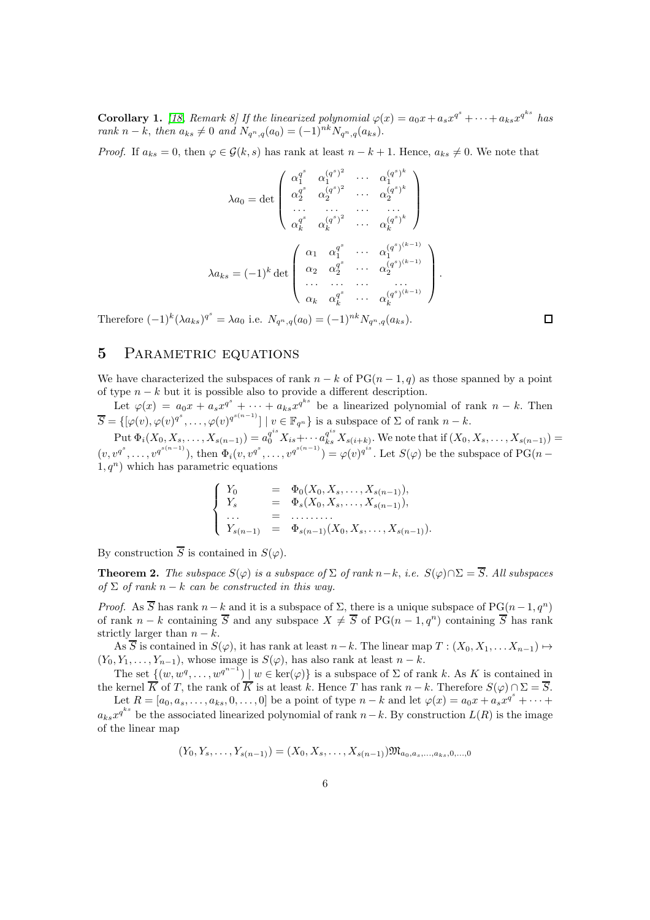**Corollary 1.** [\[18,](#page-7-3) Remark 8] If the linearized polynomial  $\varphi(x) = a_0 x + a_s x^{q^s} + \cdots + a_{ks} x^{q^{ks}}$  has rank n – k, then  $a_{ks} \neq 0$  and  $N_{q^n,q}(a_0) = (-1)^{nk}N_{q^n,q}(a_{ks}).$ 

*Proof.* If  $a_{ks} = 0$ , then  $\varphi \in \mathcal{G}(k, s)$  has rank at least  $n - k + 1$ . Hence,  $a_{ks} \neq 0$ . We note that

$$
\lambda a_0 = \det \begin{pmatrix} \alpha_1^{q^s} & \alpha_1^{(q^s)^2} & \cdots & \alpha_1^{(q^s)^k} \\ \alpha_2^{q^s} & \alpha_2^{(q^s)^2} & \cdots & \alpha_2^{(q^s)^k} \\ \vdots & \vdots & \ddots & \vdots \\ \alpha_k^{q^s} & \alpha_k^{(q^s)^2} & \cdots & \alpha_k^{(q^s)^k} \end{pmatrix}
$$

$$
\lambda a_{ks} = (-1)^k \det \begin{pmatrix} \alpha_1 & \alpha_1^{q^s} & \cdots & \alpha_1^{(q^s)^{(k-1)}} \\ \alpha_2 & \alpha_2^{q^s} & \cdots & \alpha_2^{(q^s)^{(k-1)}} \\ \vdots & \vdots & \ddots & \vdots \\ \alpha_k & \alpha_k^{q^s} & \cdots & \alpha_k^{(q^s)^{(k-1)}} \end{pmatrix}
$$

Therefore  $(-1)^k (\lambda a_{ks})^{q^s} = \lambda a_0$  i.e.  $N_{q^n,q}(a_0) = (-1)^{nk} N_{q^n,q}(a_{ks})$ .

## 5 PARAMETRIC EQUATIONS

We have characterized the subspaces of rank  $n - k$  of PG $(n - 1, q)$  as those spanned by a point of type  $n - k$  but it is possible also to provide a different description.

Let  $\varphi(x) = a_0 x + a_s x^{q^s} + \cdots + a_{ks} x^{q^{ks}}$  be a linearized polynomial of rank  $n - k$ . Then  $\overline{S} = \{ [\varphi(v), \varphi(v)]^{q^s}, \ldots, \varphi(v)]^{q^{s(n-1)}} \mid v \in \mathbb{F}_{q^n} \}$  is a subspace of  $\Sigma$  of rank  $n - k$ .

 $\mathrm{Put}\ \Phi_i(X_0, X_s, \ldots, X_{s(n-1)}) = a_0^{q^{is}} X_{is} + \cdots a_{ks}^{q^{is}} X_{s(i+k)}.$  We note that if  $(X_0, X_s, \ldots, X_{s(n-1)}) = a_0^{q^{is}} X_{is} + \cdots$  $(v, v^{q^{s}(n-1)}),$  then  $\Phi_i(v, v^{q^{s}}, \dots, v^{q^{s(n-1)}}) = \varphi(v)^{q^{is}}.$  Let  $S(\varphi)$  be the subspace of PG(n –  $1, q^n$ ) which has parametric equations

$$
\begin{cases}\nY_0 = \Phi_0(X_0, X_s, \dots, X_{s(n-1)}), \\
Y_s = \Phi_s(X_0, X_s, \dots, X_{s(n-1)}), \\
\dots = \dots \dots \\
Y_{s(n-1)} = \Phi_{s(n-1)}(X_0, X_s, \dots, X_{s(n-1)}).\n\end{cases}
$$

By construction  $\overline{S}$  is contained in  $S(\varphi)$ .

<span id="page-5-0"></span>**Theorem 2.** The subspace  $S(\varphi)$  is a subspace of  $\Sigma$  of rank  $n-k$ , i.e.  $S(\varphi) \cap \Sigma = \overline{S}$ . All subspaces of  $\Sigma$  of rank  $n - k$  can be constructed in this way.

*Proof.* As  $\overline{S}$  has rank  $n-k$  and it is a subspace of  $\Sigma$ , there is a unique subspace of  $PG(n-1, q^n)$ of rank  $n - k$  containing  $\overline{S}$  and any subspace  $X \neq \overline{S}$  of PG( $n - 1, q^n$ ) containing  $\overline{S}$  has rank strictly larger than  $n - k$ .

As  $\overline{S}$  is contained in  $S(\varphi)$ , it has rank at least  $n-k$ . The linear map  $T : (X_0, X_1, \ldots, X_{n-1}) \mapsto$  $(Y_0, Y_1, \ldots, Y_{n-1}),$  whose image is  $S(\varphi)$ , has also rank at least  $n - k$ .

The set  $\{(w, w^q, \dots, w^{q^{n-1}}) \mid w \in \text{ker}(\varphi)\}\$ is a subspace of  $\Sigma$  of rank k. As K is contained in the kernel  $\overline{K}$  of T, the rank of  $\overline{K}$  is at least k. Hence T has rank  $n - k$ . Therefore  $S(\varphi) \cap \Sigma = \overline{S}$ .

Let  $R = [a_0, a_s, \ldots, a_{ks}, 0, \ldots, 0]$  be a point of type  $n - k$  and let  $\varphi(x) = a_0 x + a_s x^{q^s} + \cdots$  $a_{ks}x^{q^{ks}}$  be the associated linearized polynomial of rank  $n-k$ . By construction  $L(R)$  is the image of the linear map

$$
(Y_0, Y_s, \ldots, Y_{s(n-1)}) = (X_0, X_s, \ldots, X_{s(n-1)}) \mathfrak{M}_{a_0, a_s, \ldots, a_{ks}, 0, \ldots, 0}
$$

 $\Box$ 

.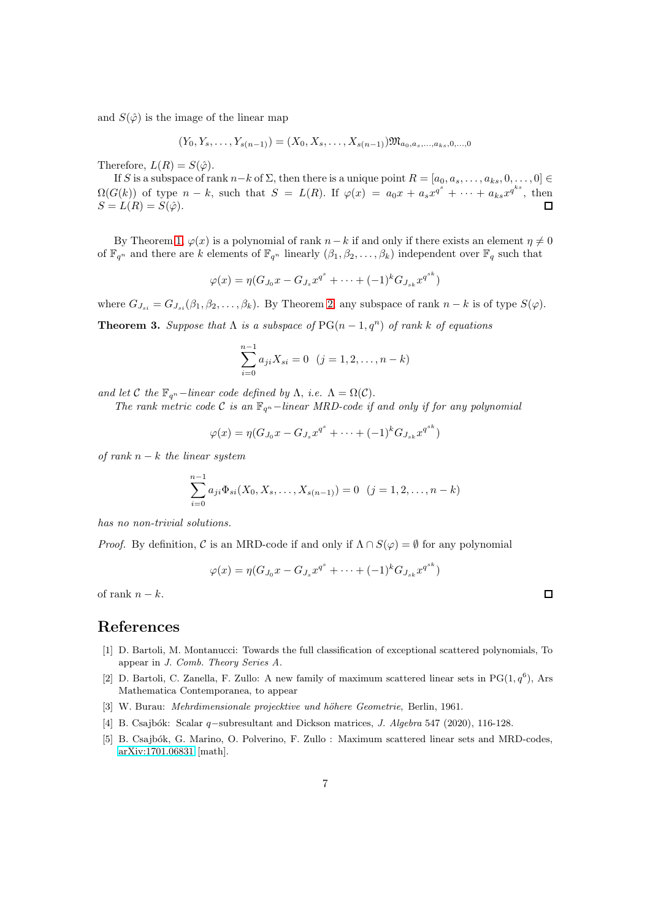and  $S(\hat{\varphi})$  is the image of the linear map

$$
(Y_0, Y_s, \ldots, Y_{s(n-1)}) = (X_0, X_s, \ldots, X_{s(n-1)}) \mathfrak{M}_{a_0, a_s, \ldots, a_{ks}, 0, \ldots, 0}
$$

Therefore,  $L(R) = S(\hat{\varphi})$ .

If S is a subspace of rank  $n-k$  of  $\Sigma$ , then there is a unique point  $R = [a_0, a_s, \ldots, a_{ks}, 0, \ldots, 0] \in$  $\Omega(G(k))$  of type  $n-k$ , such that  $S = L(R)$ . If  $\varphi(x) = a_0x + a_sx^{q^s} + \cdots + a_{ks}x^{q^{ks}}$ , then  $S = L(R) = S(\hat{\varphi}).$ 

By Theorem [1,](#page-4-0)  $\varphi(x)$  is a polynomial of rank  $n-k$  if and only if there exists an element  $\eta \neq 0$ of  $\mathbb{F}_{q^n}$  and there are k elements of  $\mathbb{F}_{q^n}$  linearly  $(\beta_1, \beta_2, \ldots, \beta_k)$  independent over  $\mathbb{F}_q$  such that

$$
\varphi(x) = \eta(G_{J_0}x - G_{J_s}x^{q^s} + \dots + (-1)^k G_{J_{sk}}x^{q^{sk}})
$$

where  $G_{J_{si}} = G_{J_{si}}(\beta_1, \beta_2, \dots, \beta_k)$ . By Theorem [2,](#page-5-0) any subspace of rank  $n - k$  is of type  $S(\varphi)$ .

**Theorem 3.** Suppose that  $\Lambda$  is a subspace of  $PG(n-1, q^n)$  of rank k of equations

$$
\sum_{i=0}^{n-1} a_{ji} X_{si} = 0 \quad (j = 1, 2, \dots, n-k)
$$

and let C the  $\mathbb{F}_{q^n}$  –linear code defined by  $\Lambda$ , i.e.  $\Lambda = \Omega(\mathcal{C})$ .

The rank metric code C is an  $\mathbb{F}_{q^n}$  –linear MRD-code if and only if for any polynomial

$$
\varphi(x) = \eta(G_{J_0}x - G_{J_s}x^{q^s} + \dots + (-1)^k G_{J_{sk}}x^{q^{sk}})
$$

of rank  $n - k$  the linear system

$$
\sum_{i=0}^{n-1} a_{ji} \Phi_{si}(X_0, X_s, \dots, X_{s(n-1)}) = 0 \quad (j = 1, 2, \dots, n-k)
$$

has no non-trivial solutions.

*Proof.* By definition, C is an MRD-code if and only if  $\Lambda \cap S(\varphi) = \emptyset$  for any polynomial

$$
\varphi(x) = \eta(G_{J_0}x - G_{J_s}x^{q^s} + \dots + (-1)^k G_{J_{sk}}x^{q^{sk}})
$$

of rank  $n - k$ .

### <span id="page-6-0"></span>References

- [1] D. Bartoli, M. Montanucci: Towards the full classification of exceptional scattered polynomials, To appear in J. Comb. Theory Series A.
- <span id="page-6-1"></span>[2] D. Bartoli, C. Zanella, F. Zullo: A new family of maximum scattered linear sets in  $PG(1, q^6)$ , Ars Mathematica Contemporanea, to appear
- <span id="page-6-4"></span><span id="page-6-2"></span>[3] W. Burau: *Mehrdimensionale projecktive und höhere Geometrie*, Berlin, 1961.
- <span id="page-6-3"></span>[4] B. Csajbók: Scalar q−subresultant and Dickson matrices, *J. Algebra* 547 (2020), 116-128.
- [5] B. Csajbók, G. Marino, O. Polverino, F. Zullo : Maximum scattered linear sets and MRD-codes, [arXiv:1701.06831](http://arxiv.org/abs/1701.06831) [math].

 $\Box$